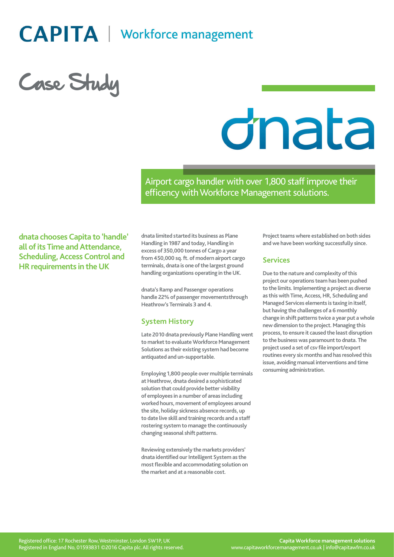# **CAPITA** | Workforce management

Case Study

# dnata

Airport cargo handler with over 1,800 staff improve their efficency with Workforce Management solutions.

**dnata chooses Capita to 'handle' all of its Time and Attendance, Scheduling, Access Control and HR requirements in the UK**

**dnata limited started its business as Plane Handling in 1987 and today, Handling in excess of 350,000 tonnes of Cargo a year from 450,000 sq. ft. of modern airport cargo terminals, dnata is one of the largest ground handling organizations operating in the UK.**

**dnata's Ramp and Passenger operations handle 22% of passenger movementsthrough Heathrow's Terminals 3 and 4.**

# **System History**

**Late 2010 dnata previously Plane Handling went to market to evaluate Workforce Management Solutions as their existing system had become antiquated and un-supportable.**

**Employing 1,800 people over multiple terminals at Heathrow, dnata desired a sophisticated solution that could provide better visibility of employees in a number of areas including worked hours, movement of employees around the site, holiday sickness absence records, up to date live skill and training records and a staff rostering system to manage the continuously changing seasonal shift patterns.**

**Reviewing extensively the markets providers' dnata identified our Intelligent System as the most flexible and accommodating solution on the market and at a reasonable cost.**

**Project teams where established on both sides and we have been working successfully since.**

#### **Services**

**Due to the nature and complexity of this project our operations team has been pushed to the limits. Implementing a project as diverse as this with Time, Access, HR, Scheduling and Managed Services elements is taxing in itself, but having the challenges of a 6 monthly change in shift patterns twice a year put a whole new dimension to the project. Managing this process, to ensure it caused the least disruption to the business was paramount to dnata. The project used a set of csv file import/export routines every six months and has resolved this issue, avoiding manual interventions and time consuming administration.**